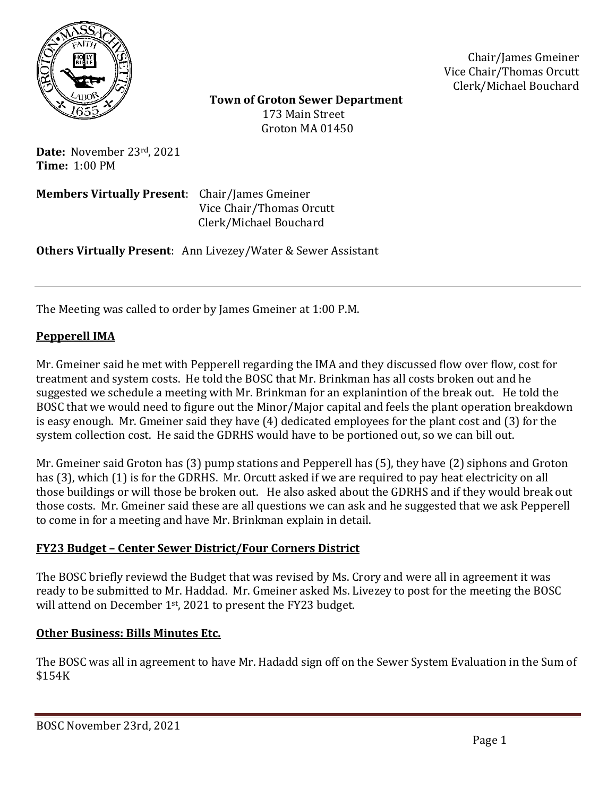

Chair/James Gmeiner Vice Chair/Thomas Orcutt Clerk/Michael Bouchard

 **Town of Groton Sewer Department** 173 Main Street Groton MA 01450

**Date:** November 23rd, 2021 **Time:** 1:00 PM

**Members Virtually Present**: Chair/James Gmeiner Vice Chair/Thomas Orcutt Clerk/Michael Bouchard

**Others Virtually Present**: Ann Livezey/Water & Sewer Assistant

The Meeting was called to order by James Gmeiner at 1:00 P.M.

## **Pepperell IMA**

Mr. Gmeiner said he met with Pepperell regarding the IMA and they discussed flow over flow, cost for treatment and system costs. He told the BOSC that Mr. Brinkman has all costs broken out and he suggested we schedule a meeting with Mr. Brinkman for an explanintion of the break out. He told the BOSC that we would need to figure out the Minor/Major capital and feels the plant operation breakdown is easy enough. Mr. Gmeiner said they have (4) dedicated employees for the plant cost and (3) for the system collection cost. He said the GDRHS would have to be portioned out, so we can bill out.

Mr. Gmeiner said Groton has (3) pump stations and Pepperell has (5), they have (2) siphons and Groton has (3), which (1) is for the GDRHS. Mr. Orcutt asked if we are required to pay heat electricity on all those buildings or will those be broken out. He also asked about the GDRHS and if they would break out those costs. Mr. Gmeiner said these are all questions we can ask and he suggested that we ask Pepperell to come in for a meeting and have Mr. Brinkman explain in detail.

## **FY23 Budget – Center Sewer District/Four Corners District**

The BOSC briefly reviewd the Budget that was revised by Ms. Crory and were all in agreement it was ready to be submitted to Mr. Haddad. Mr. Gmeiner asked Ms. Livezey to post for the meeting the BOSC will attend on December 1<sup>st</sup>, 2021 to present the FY23 budget.

## **Other Business: Bills Minutes Etc.**

The BOSC was all in agreement to have Mr. Hadadd sign off on the Sewer System Evaluation in the Sum of \$154K